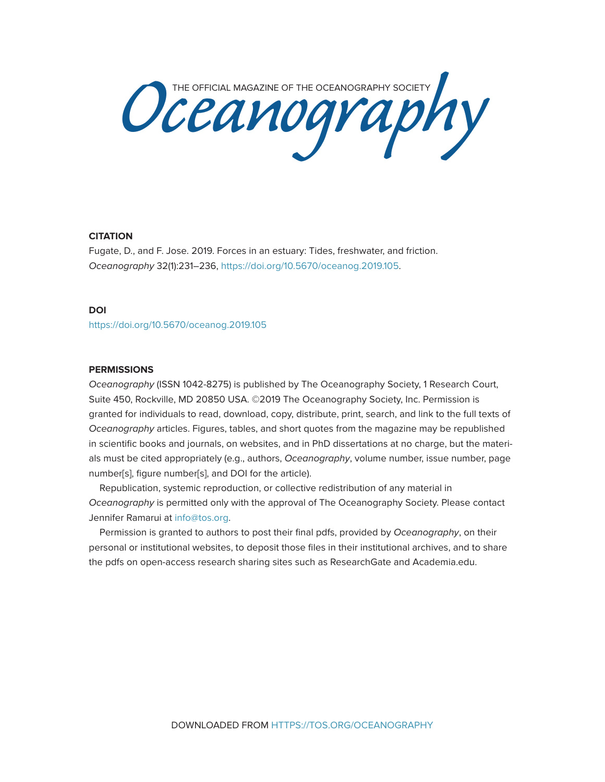Oceanography Society

## **CITATION**

Fugate, D., and F. Jose. 2019. Forces in an estuary: Tides, freshwater, and friction. *Oceanography* 32(1):231–236, [https://doi.org/10.5670/oceanog.2019.105.](https://doi.org/10.5670/oceanog.2019.105)

## **DOI**

<https://doi.org/10.5670/oceanog.2019.105>

## **PERMISSIONS**

*Oceanography* (ISSN 1042-8275) is published by The Oceanography Society, 1 Research Court, Suite 450, Rockville, MD 20850 USA. ©2019 The Oceanography Society, Inc. Permission is granted for individuals to read, download, copy, distribute, print, search, and link to the full texts of *Oceanography* articles. Figures, tables, and short quotes from the magazine may be republished in scientific books and journals, on websites, and in PhD dissertations at no charge, but the materials must be cited appropriately (e.g., authors, *Oceanography*, volume number, issue number, page number[s], figure number[s], and DOI for the article).

Republication, systemic reproduction, or collective redistribution of any material in *Oceanography* is permitted only with the approval of The Oceanography Society. Please contact Jennifer Ramarui at info@tos.org.

Permission is granted to authors to post their final pdfs, provided by *Oceanography*, on their personal or institutional websites, to deposit those files in their institutional archives, and to share the pdfs on open-access research sharing sites such as ResearchGate and Academia.edu.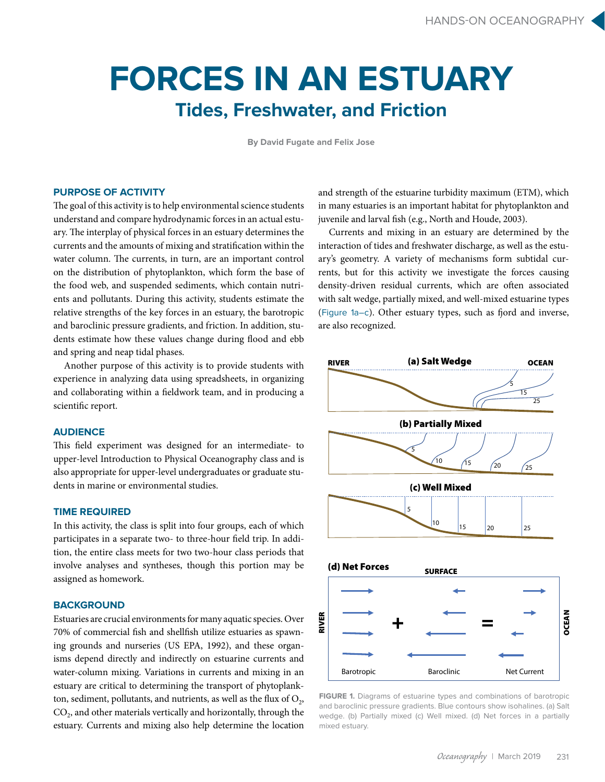# **FORCES IN AN ESTUARY Tides, Freshwater, and Friction**

**By David Fugate and Felix Jose**

# **PURPOSE OF ACTIVITY**

The goal of this activity is to help environmental science students understand and compare hydrodynamic forces in an actual estuary. The interplay of physical forces in an estuary determines the currents and the amounts of mixing and stratification within the water column. The currents, in turn, are an important control on the distribution of phytoplankton, which form the base of the food web, and suspended sediments, which contain nutrients and pollutants. During this activity, students estimate the relative strengths of the key forces in an estuary, the barotropic and baroclinic pressure gradients, and friction. In addition, students estimate how these values change during flood and ebb and spring and neap tidal phases.

Another purpose of this activity is to provide students with experience in analyzing data using spreadsheets, in organizing and collaborating within a fieldwork team, and in producing a scientific report.

## **AUDIENCE**

This field experiment was designed for an intermediate- to upper-level Introduction to Physical Oceanography class and is also appropriate for upper-level undergraduates or graduate students in marine or environmental studies.

# **TIME REQUIRED**

In this activity, the class is split into four groups, each of which participates in a separate two- to three-hour field trip. In addition, the entire class meets for two two-hour class periods that involve analyses and syntheses, though this portion may be assigned as homework.

## **BACKGROUND**

Estuaries are crucial environments for many aquatic species. Over 70% of commercial fish and shellfish utilize estuaries as spawning grounds and nurseries (US EPA, 1992), and these organisms depend directly and indirectly on estuarine currents and water-column mixing. Variations in currents and mixing in an estuary are critical to determining the transport of phytoplankton, sediment, pollutants, and nutrients, as well as the flux of  $O<sub>2</sub>$ , CO<sub>2</sub>, and other materials vertically and horizontally, through the estuary. Currents and mixing also help determine the location

and strength of the estuarine turbidity maximum (ETM), which in many estuaries is an important habitat for phytoplankton and juvenile and larval fish (e.g., North and Houde, 2003).

Currents and mixing in an estuary are determined by the interaction of tides and freshwater discharge, as well as the estuary's geometry. A variety of mechanisms form subtidal currents, but for this activity we investigate the forces causing density-driven residual currents, which are often associated with salt wedge, partially mixed, and well-mixed estuarine types (Figure 1a–c). Other estuary types, such as fjord and inverse, are also recognized.



**FIGURE 1.** Diagrams of estuarine types and combinations of barotropic and baroclinic pressure gradients. Blue contours show isohalines. (a) Salt wedge. (b) Partially mixed (c) Well mixed. (d) Net forces in a partially mixed estuary.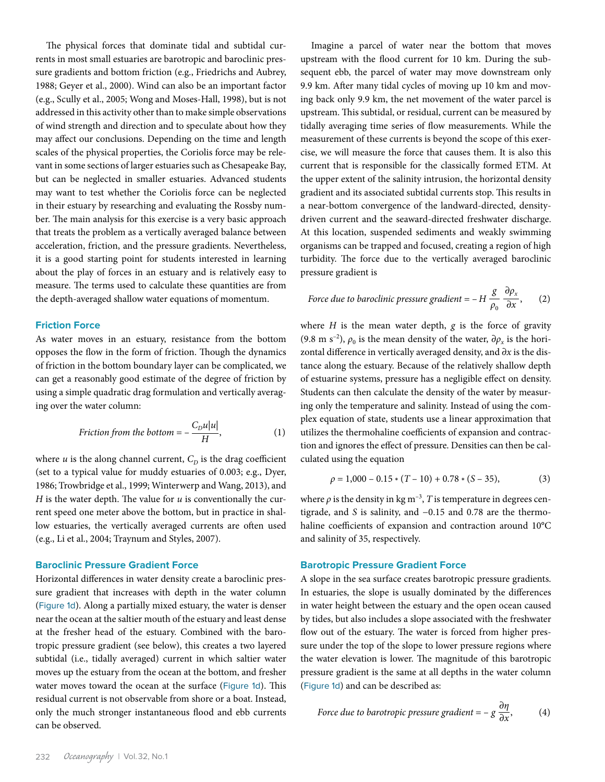The physical forces that dominate tidal and subtidal currents in most small estuaries are barotropic and baroclinic pressure gradients and bottom friction (e.g., Friedrichs and Aubrey, 1988; Geyer et al., 2000). Wind can also be an important factor (e.g., Scully et al., 2005; Wong and Moses-Hall, 1998), but is not addressed in this activity other than to make simple observations of wind strength and direction and to speculate about how they may affect our conclusions. Depending on the time and length scales of the physical properties, the Coriolis force may be relevant in some sections of larger estuaries such as Chesapeake Bay, but can be neglected in smaller estuaries. Advanced students may want to test whether the Coriolis force can be neglected in their estuary by researching and evaluating the Rossby number. The main analysis for this exercise is a very basic approach that treats the problem as a vertically averaged balance between acceleration, friction, and the pressure gradients. Nevertheless, it is a good starting point for students interested in learning about the play of forces in an estuary and is relatively easy to measure. The terms used to calculate these quantities are from the depth-averaged shallow water equations of momentum.

## **Friction Force**

As water moves in an estuary, resistance from the bottom opposes the flow in the form of friction. Though the dynamics of friction in the bottom boundary layer can be complicated, we can get a reasonably good estimate of the degree of friction by using a simple quadratic drag formulation and vertically averaging over the water column:

$$
Friction from the bottom = -\frac{C_D u |u|}{H}, \qquad (1)
$$

where  $u$  is the along channel current,  $C_D$  is the drag coefficient (set to a typical value for muddy estuaries of 0.003; e.g., Dyer, 1986; Trowbridge et al., 1999; Winterwerp and Wang, 2013), and *H* is the water depth. The value for  $u$  is conventionally the current speed one meter above the bottom, but in practice in shallow estuaries, the vertically averaged currents are often used (e.g., Li et al., 2004; Traynum and Styles, 2007).

## **Baroclinic Pressure Gradient Force**

Horizontal differences in water density create a baroclinic pressure gradient that increases with depth in the water column (Figure 1d). Along a partially mixed estuary, the water is denser near the ocean at the saltier mouth of the estuary and least dense at the fresher head of the estuary. Combined with the barotropic pressure gradient (see below), this creates a two layered subtidal (i.e., tidally averaged) current in which saltier water moves up the estuary from the ocean at the bottom, and fresher water moves toward the ocean at the surface (Figure 1d). This residual current is not observable from shore or a boat. Instead, only the much stronger instantaneous flood and ebb currents can be observed.

Imagine a parcel of water near the bottom that moves upstream with the flood current for 10 km. During the subsequent ebb, the parcel of water may move downstream only 9.9 km. After many tidal cycles of moving up 10 km and moving back only 9.9 km, the net movement of the water parcel is upstream. This subtidal, or residual, current can be measured by tidally averaging time series of flow measurements. While the measurement of these currents is beyond the scope of this exercise, we will measure the force that causes them. It is also this current that is responsible for the classically formed ETM. At the upper extent of the salinity intrusion, the horizontal density gradient and its associated subtidal currents stop. This results in a near-bottom convergence of the landward-directed, densitydriven current and the seaward-directed freshwater discharge. At this location, suspended sediments and weakly swimming organisms can be trapped and focused, creating a region of high turbidity. The force due to the vertically averaged baroclinic pressure gradient is

Force due to baroclinic pressure gradient = 
$$
-H \frac{g}{\rho_0} \frac{\partial \rho_x}{\partial x}
$$
, (2)

where *H* is the mean water depth, *g* is the force of gravity (9.8 m s<sup>-2</sup>),  $\rho_0$  is the mean density of the water,  $\partial \rho_x$  is the horizontal difference in vertically averaged density, and ∂*x* is the distance along the estuary. Because of the relatively shallow depth of estuarine systems, pressure has a negligible effect on density. Students can then calculate the density of the water by measuring only the temperature and salinity. Instead of using the complex equation of state, students use a linear approximation that utilizes the thermohaline coefficients of expansion and contraction and ignores the effect of pressure. Densities can then be calculated using the equation

$$
\rho = 1,000 - 0.15 * (T - 10) + 0.78 * (S - 35),\tag{3}
$$

where  $\rho$  is the density in kg m<sup>-3</sup>, *T* is temperature in degrees centigrade, and *S* is salinity, and −0.15 and 0.78 are the thermohaline coefficients of expansion and contraction around 10°C and salinity of 35, respectively.

#### **Barotropic Pressure Gradient Force**

A slope in the sea surface creates barotropic pressure gradients. In estuaries, the slope is usually dominated by the differences in water height between the estuary and the open ocean caused by tides, but also includes a slope associated with the freshwater flow out of the estuary. The water is forced from higher pressure under the top of the slope to lower pressure regions where the water elevation is lower. The magnitude of this barotropic pressure gradient is the same at all depths in the water column (Figure 1d) and can be described as:

Force due to barotropic pressure gradient = 
$$
-g \frac{\partial \eta}{\partial x}
$$
, (4)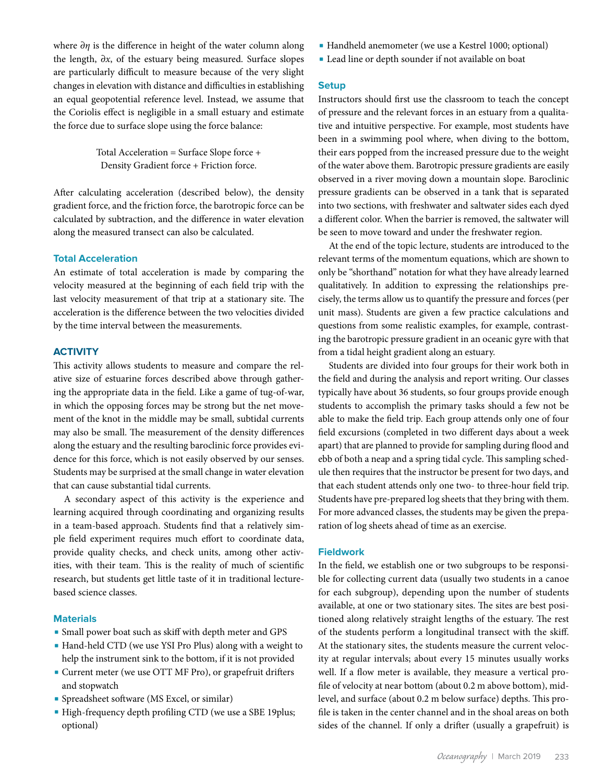where ∂*η* is the difference in height of the water column along the length, ∂*x*, of the estuary being measured. Surface slopes are particularly difficult to measure because of the very slight changes in elevation with distance and difficulties in establishing an equal geopotential reference level. Instead, we assume that the Coriolis effect is negligible in a small estuary and estimate the force due to surface slope using the force balance:

> Total Acceleration = Surface Slope force + Density Gradient force + Friction force.

After calculating acceleration (described below), the density gradient force, and the friction force, the barotropic force can be calculated by subtraction, and the difference in water elevation along the measured transect can also be calculated.

## **Total Acceleration**

An estimate of total acceleration is made by comparing the velocity measured at the beginning of each field trip with the last velocity measurement of that trip at a stationary site. The acceleration is the difference between the two velocities divided by the time interval between the measurements.

## **ACTIVITY**

This activity allows students to measure and compare the relative size of estuarine forces described above through gathering the appropriate data in the field. Like a game of tug-of-war, in which the opposing forces may be strong but the net movement of the knot in the middle may be small, subtidal currents may also be small. The measurement of the density differences along the estuary and the resulting baroclinic force provides evidence for this force, which is not easily observed by our senses. Students may be surprised at the small change in water elevation that can cause substantial tidal currents.

A secondary aspect of this activity is the experience and learning acquired through coordinating and organizing results in a team-based approach. Students find that a relatively simple field experiment requires much effort to coordinate data, provide quality checks, and check units, among other activities, with their team. This is the reality of much of scientific research, but students get little taste of it in traditional lecturebased science classes.

## **Materials**

- Small power boat such as skiff with depth meter and GPS
- Hand-held CTD (we use YSI Pro Plus) along with a weight to help the instrument sink to the bottom, if it is not provided
- Current meter (we use OTT MF Pro), or grapefruit drifters and stopwatch
- Spreadsheet software (MS Excel, or similar)
- High-frequency depth profiling CTD (we use a SBE 19plus; optional)
- Handheld anemometer (we use a Kestrel 1000; optional)
- Lead line or depth sounder if not available on boat

#### **Setup**

Instructors should first use the classroom to teach the concept of pressure and the relevant forces in an estuary from a qualitative and intuitive perspective. For example, most students have been in a swimming pool where, when diving to the bottom, their ears popped from the increased pressure due to the weight of the water above them. Barotropic pressure gradients are easily observed in a river moving down a mountain slope. Baroclinic pressure gradients can be observed in a tank that is separated into two sections, with freshwater and saltwater sides each dyed a different color. When the barrier is removed, the saltwater will be seen to move toward and under the freshwater region.

At the end of the topic lecture, students are introduced to the relevant terms of the momentum equations, which are shown to only be "shorthand" notation for what they have already learned qualitatively. In addition to expressing the relationships precisely, the terms allow us to quantify the pressure and forces (per unit mass). Students are given a few practice calculations and questions from some realistic examples, for example, contrasting the barotropic pressure gradient in an oceanic gyre with that from a tidal height gradient along an estuary.

Students are divided into four groups for their work both in the field and during the analysis and report writing. Our classes typically have about 36 students, so four groups provide enough students to accomplish the primary tasks should a few not be able to make the field trip. Each group attends only one of four field excursions (completed in two different days about a week apart) that are planned to provide for sampling during flood and ebb of both a neap and a spring tidal cycle. This sampling schedule then requires that the instructor be present for two days, and that each student attends only one two- to three-hour field trip. Students have pre-prepared log sheets that they bring with them. For more advanced classes, the students may be given the preparation of log sheets ahead of time as an exercise.

## **Fieldwork**

In the field, we establish one or two subgroups to be responsible for collecting current data (usually two students in a canoe for each subgroup), depending upon the number of students available, at one or two stationary sites. The sites are best positioned along relatively straight lengths of the estuary. The rest of the students perform a longitudinal transect with the skiff. At the stationary sites, the students measure the current velocity at regular intervals; about every 15 minutes usually works well. If a flow meter is available, they measure a vertical profile of velocity at near bottom (about 0.2 m above bottom), midlevel, and surface (about 0.2 m below surface) depths. This profile is taken in the center channel and in the shoal areas on both sides of the channel. If only a drifter (usually a grapefruit) is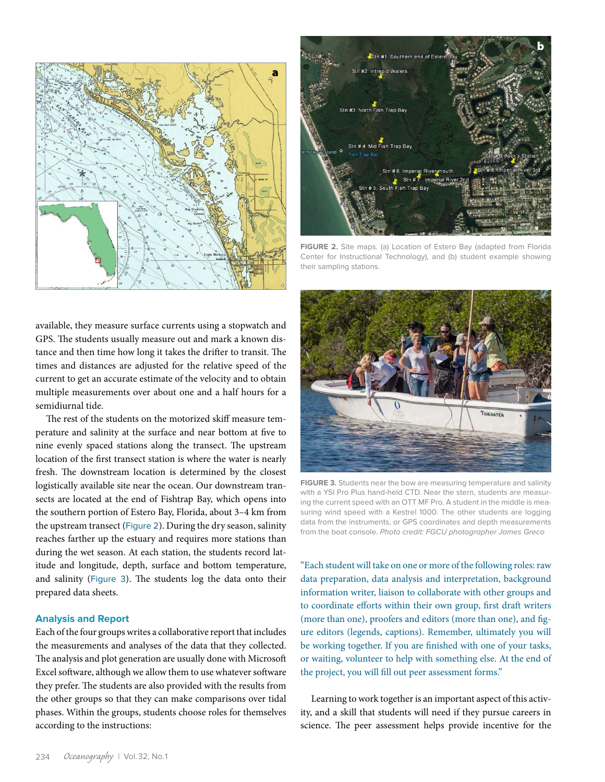

bStn #1: Southern end of Es Stn #2: Intrepid Waters Stn #3: North Fish Trap Bay Stn # 4: Mid Fish Trap Bay Stn # 6: Imperial River mouth<br>Stn # 7: Imperial River 2n # 5: South Fish Trap Bay

**FIGURE 2.** Site maps. (a) Location of Estero Bay (adapted from Florida Center for Instructional Technology), and (b) student example showing their sampling stations.

available, they measure surface currents using a stopwatch and GPS. The students usually measure out and mark a known distance and then time how long it takes the drifter to transit. The times and distances are adjusted for the relative speed of the current to get an accurate estimate of the velocity and to obtain multiple measurements over about one and a half hours for a semidiurnal tide.

The rest of the students on the motorized skiff measure temperature and salinity at the surface and near bottom at five to nine evenly spaced stations along the transect. The upstream location of the first transect station is where the water is nearly fresh. The downstream location is determined by the closest logistically available site near the ocean. Our downstream transects are located at the end of Fishtrap Bay, which opens into the southern portion of Estero Bay, Florida, about 3–4 km from the upstream transect (Figure 2). During the dry season, salinity reaches farther up the estuary and requires more stations than during the wet season. At each station, the students record latitude and longitude, depth, surface and bottom temperature, and salinity (Figure 3). The students log the data onto their prepared data sheets.

## **Analysis and Report**

Each of the four groups writes a collaborative report that includes the measurements and analyses of the data that they collected. The analysis and plot generation are usually done with Microsoft Excel software, although we allow them to use whatever software they prefer. The students are also provided with the results from the other groups so that they can make comparisons over tidal phases. Within the groups, students choose roles for themselves according to the instructions:



**FIGURE 3.** Students near the bow are measuring temperature and salinity with a YSI Pro Plus hand-held CTD. Near the stern, students are measuring the current speed with an OTT MF Pro. A student in the middle is measuring wind speed with a Kestrel 1000. The other students are logging data from the instruments, or GPS coordinates and depth measurements from the boat console. *Photo credit: FGCU photographer James Greco*

"Each student will take on one or more of the following roles: raw data preparation, data analysis and interpretation, background information writer, liaison to collaborate with other groups and to coordinate efforts within their own group, first draft writers (more than one), proofers and editors (more than one), and figure editors (legends, captions). Remember, ultimately you will be working together. If you are finished with one of your tasks, or waiting, volunteer to help with something else. At the end of the project, you will fill out peer assessment forms."

Learning to work together is an important aspect of this activity, and a skill that students will need if they pursue careers in science. The peer assessment helps provide incentive for the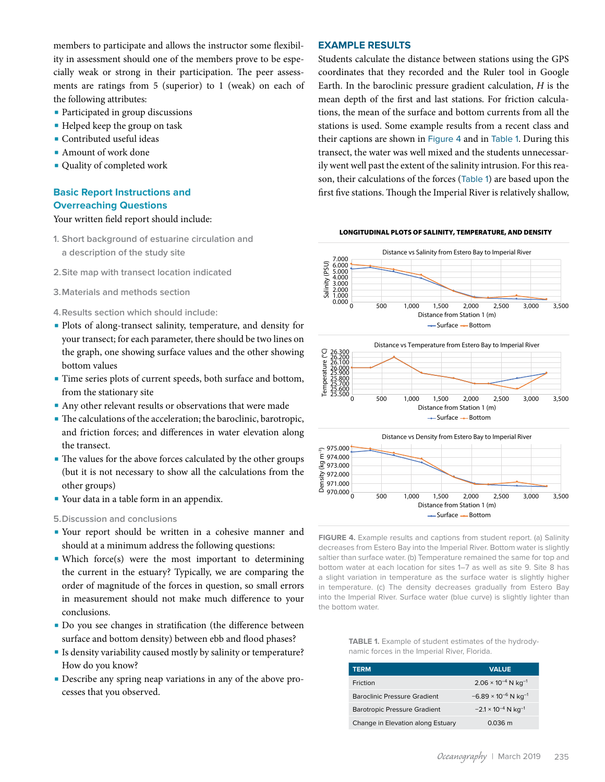members to participate and allows the instructor some flexibility in assessment should one of the members prove to be especially weak or strong in their participation. The peer assessments are ratings from 5 (superior) to 1 (weak) on each of the following attributes:

- Participated in group discussions
- Helped keep the group on task
- Contributed useful ideas
- Amount of work done
- Quality of completed work

# **Basic Report Instructions and Overreaching Questions**

#### Your written field report should include:

- **1. Short background of estuarine circulation and a description of the study site**
- **2.Site map with transect location indicated**
- **3.Materials and methods section**
- **4.Results section which should include:**
- Plots of along-transect salinity, temperature, and density for your transect; for each parameter, there should be two lines on the graph, one showing surface values and the other showing bottom values
- Time series plots of current speeds, both surface and bottom, from the stationary site
- Any other relevant results or observations that were made
- The calculations of the acceleration; the baroclinic, barotropic, and friction forces; and differences in water elevation along the transect.
- The values for the above forces calculated by the other groups (but it is not necessary to show all the calculations from the other groups)
- Your data in a table form in an appendix.

### **5.Discussion and conclusions**

- Your report should be written in a cohesive manner and should at a minimum address the following questions:
- Which force(s) were the most important to determining the current in the estuary? Typically, we are comparing the order of magnitude of the forces in question, so small errors in measurement should not make much difference to your conclusions.
- Do you see changes in stratification (the difference between surface and bottom density) between ebb and flood phases?
- Is density variability caused mostly by salinity or temperature? How do you know?
- Describe any spring neap variations in any of the above processes that you observed.

## **EXAMPLE RESULTS**

Students calculate the distance between stations using the GPS coordinates that they recorded and the Ruler tool in Google Earth. In the baroclinic pressure gradient calculation, *H* is the mean depth of the first and last stations. For friction calculations, the mean of the surface and bottom currents from all the stations is used. Some example results from a recent class and their captions are shown in Figure 4 and in Table 1. During this transect, the water was well mixed and the students unnecessarily went well past the extent of the salinity intrusion. For this reason, their calculations of the forces (Table 1) are based upon the first five stations. Though the Imperial River is relatively shallow,





saltier than surface water. (b) Temperature remained the same for top and the bottom water. into the Imperial River. Surface water (blue curve) is slightly lighter than in temperature. (c) The density decreases gradually from Estero Bay e.<br>Ta<br>Ite a slight variation in temperature as the surface water is slightly higher **FIGURE 4.** Example results and captions from student report. (a) Salinity decreases from Estero Bay into the Imperial River. Bottom water is slightly bottom water at each location for sites 1–7 as well as site 9. Site 8 has

TABLE 1. Example of student estimates of the hydrodynamic forces in the Imperial River, Florida.

| <b>TERM</b>                         | <b>VALUE</b>                              |
|-------------------------------------|-------------------------------------------|
| Friction                            | $2.06 \times 10^{-4}$ N kg <sup>-1</sup>  |
| <b>Baroclinic Pressure Gradient</b> | $-6.89 \times 10^{-6}$ N kg <sup>-1</sup> |
| <b>Barotropic Pressure Gradient</b> | $-2.1 \times 10^{-4}$ N kg <sup>-1</sup>  |
| Change in Elevation along Estuary   | $0.036 \text{ m}$                         |